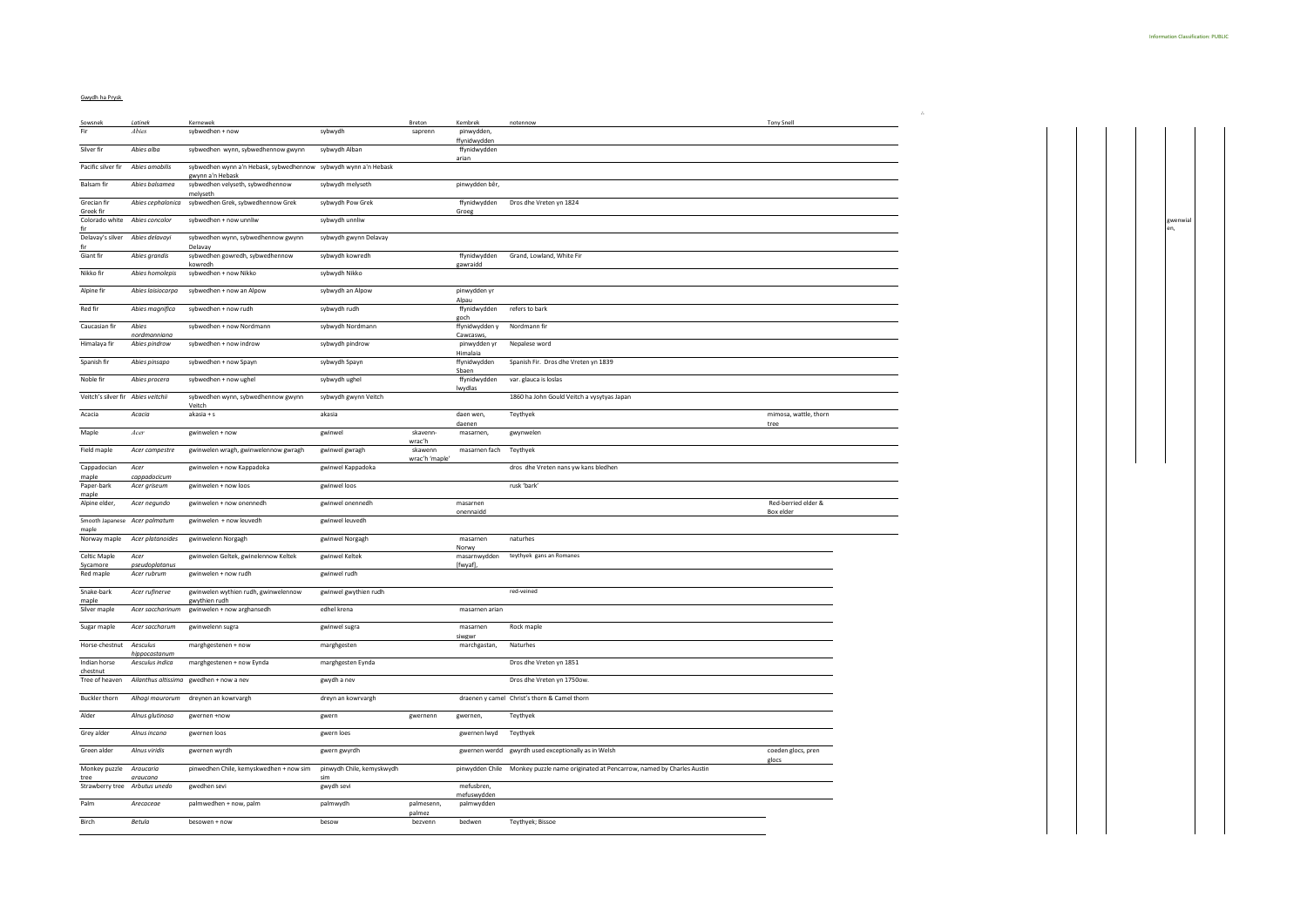## Gwydh ha Prysk

| Sowsnek                                | Latinek                       | Kernewek                                                        |                           | Breton            | Kembrek                              | notennow                                                                            | <b>Tony Snell</b>                |  |
|----------------------------------------|-------------------------------|-----------------------------------------------------------------|---------------------------|-------------------|--------------------------------------|-------------------------------------------------------------------------------------|----------------------------------|--|
| Fir                                    | Abies                         | sybwedhen + now                                                 | sybwydh                   | saprenn           | pinwydden,                           |                                                                                     |                                  |  |
| Silver fir                             | Abies alba                    | sybwedhen wynn, sybwedhennow gwynn                              | sybwydh Alban             |                   | ffynidwydden<br>ffynidwydden         |                                                                                     |                                  |  |
|                                        |                               |                                                                 |                           |                   | arian                                |                                                                                     |                                  |  |
| Pacific silver fir                     | Abies amabilis                | sybwedhen wynn a'n Hebask, sybwedhennow sybwydh wynn a'n Hebask |                           |                   |                                      |                                                                                     |                                  |  |
| Balsam fir                             | Abies balsamea                | gwynn a'n Hebask<br>sybwedhen velyseth, sybwedhennow            | sybwydh melyseth          |                   | pinwydden bêr,                       |                                                                                     |                                  |  |
|                                        |                               | melyseth                                                        |                           |                   |                                      |                                                                                     |                                  |  |
| Grecian fir<br>Greek fir               |                               | Abies cephalonica sybwedhen Grek, sybwedhennow Grek             | sybwydh Pow Grek          |                   | Groeg                                | ffynidwydden Dros dhe Vreten yn 1824                                                |                                  |  |
| Colorado white Abies concolor          |                               | sybwedhen + now unnliw                                          | sybwydh unnliw            |                   |                                      |                                                                                     |                                  |  |
| fir                                    |                               |                                                                 |                           |                   |                                      |                                                                                     |                                  |  |
| Delavay's silver Abies delavayi<br>fir |                               | sybwedhen wynn, sybwedhennow gwynn<br>Delavay                   | sybwydh gwynn Delavay     |                   |                                      |                                                                                     |                                  |  |
| Giant fir                              | Abies grandis                 | sybwedhen gowredh, sybwedhennow                                 | sybwydh kowredh           |                   |                                      | ffynidwydden Grand, Lowland, White Fir                                              |                                  |  |
| Nikko fir                              | Abies homolepis               | kowredh<br>sybwedhen + now Nikko                                | sybwydh Nikko             |                   | gawraidd                             |                                                                                     |                                  |  |
|                                        |                               |                                                                 |                           |                   |                                      |                                                                                     |                                  |  |
| Alpine fir                             |                               | Abies laisiocarpa sybwedhen + now an Alpow                      | sybwydh an Alpow          |                   | pinwydden yr                         |                                                                                     |                                  |  |
| Red fir                                | Abies magnifica               | sybwedhen + now rudh                                            | sybwydh rudh              |                   | Alpau<br>ffynidwydden refers to bark |                                                                                     |                                  |  |
|                                        |                               |                                                                 |                           |                   | goch                                 |                                                                                     |                                  |  |
| Caucasian fir                          | Abies                         | sybwedhen + now Nordmann                                        | sybwydh Nordmann          |                   | ffynidwydden y Nordmann fir          |                                                                                     |                                  |  |
| Himalaya fir                           | nordmanniana<br>Abies pindrow | sybwedhen + now indrow                                          | sybwydh pindrow           |                   | Cawcasws,<br>pinwydden yr            | Nepalese word                                                                       |                                  |  |
|                                        |                               |                                                                 |                           |                   | Himalaia                             |                                                                                     |                                  |  |
| Spanish fir                            | Abies pinsapo                 | sybwedhen + now Spayn                                           | sybwydh Spayn             |                   | ffynidwydden<br>Sbaen                | Spanish Fir. Dros dhe Vreten yn 1839                                                |                                  |  |
| Noble fir                              | Abies procera                 | sybwedhen + now ughel                                           | sybwydh ughel             |                   |                                      | ffynidwydden var. glauca is Ioslas                                                  |                                  |  |
|                                        |                               |                                                                 |                           |                   | lwydlas                              |                                                                                     |                                  |  |
| Veitch's silver fir Abies veitchii     |                               | sybwedhen wynn, sybwedhennow gwynn                              | sybwydh gwynn Veitch      |                   |                                      | 1860 ha John Gould Veitch a vysytyas Japan                                          |                                  |  |
| Acacia                                 | Acacia                        | Veitch<br>akasia + s                                            | akasia                    |                   | daen wen                             | Teythyek                                                                            | mimosa, wattle, thorn            |  |
|                                        |                               |                                                                 |                           |                   | daenen                               |                                                                                     | tree                             |  |
| Maple                                  | $\emph{Acer}$                 | gwinwelen + now                                                 | gwinwel                   | skavenn-          | masarnen,                            | gwynwelen                                                                           |                                  |  |
| Field maple                            | Acer campestre                | gwinwelen wragh, gwinwelennow gwragh                            | gwinwel gwragh            | wrac'h<br>skawenn | masarnen fach Teythyek               |                                                                                     |                                  |  |
|                                        |                               |                                                                 |                           | wrac'h 'maple'    |                                      |                                                                                     |                                  |  |
| Cappadocian<br>maple                   | Acer<br>cappadocicum          | gwinwelen + now Kappadoka                                       | gwinwel Kappadoka         |                   |                                      | dros dhe Vreten nans yw kans bledhen                                                |                                  |  |
| Paper-bark                             | Acer griseum                  | gwinwelen + now loos                                            | gwinwel loos              |                   |                                      | rusk 'bark'                                                                         |                                  |  |
| maple                                  |                               |                                                                 |                           |                   |                                      |                                                                                     |                                  |  |
| Alpine elder,                          | Acer negundo                  | gwinwelen + now onennedh                                        | gwinwel onennedh          |                   | masarnen<br>onennaidd                |                                                                                     | Red-berried elder &<br>Box elder |  |
|                                        | Smooth Japanese Acer palmatum | gwinwelen + now leuvedh                                         | gwinwel leuvedh           |                   |                                      |                                                                                     |                                  |  |
| maple                                  |                               |                                                                 |                           |                   | masarnen                             | naturhes                                                                            |                                  |  |
|                                        |                               | Norway maple Acer platanoides gwinwelenn Norgagh                | gwinwel Norgagh           |                   | Norwy                                |                                                                                     |                                  |  |
| Celtic Maple                           | Acer                          | gwinwelen Geltek, gwinelennow Keltek                            | gwinwel Keltek            |                   |                                      | masarnwydden teythyek gans an Romanes                                               |                                  |  |
| Sycamore<br>Red maple                  | pseudoplatanus<br>Acer rubrum | gwinwelen + now rudh                                            | gwinwel rudh              |                   | [fwyaf],                             |                                                                                     |                                  |  |
|                                        |                               |                                                                 |                           |                   |                                      |                                                                                     |                                  |  |
| Snake-bark                             | Acer rufinerve                | gwinwelen wythien rudh, gwinwelennow                            | gwinwel gwythien rudh     |                   |                                      | red-veined                                                                          |                                  |  |
| maple<br>Silver maple                  |                               | gwythien rudh<br>Acer saccharinum gwinwelen + now arghansedh    | edhel krena               |                   | masarnen arian                       |                                                                                     |                                  |  |
|                                        |                               |                                                                 |                           |                   |                                      |                                                                                     |                                  |  |
| Sugar maple                            | Acer saccharum                | gwinwelenn sugra                                                | gwinwel sugra             |                   | masarnen                             | Rock maple                                                                          |                                  |  |
| Horse-chestnut Aesculus                |                               | marghgestenen + now                                             | marghgesten               |                   | siwgwr<br>marchgastan,               | Naturhes                                                                            |                                  |  |
|                                        | hippocastanun                 |                                                                 |                           |                   |                                      |                                                                                     |                                  |  |
| Indian horse                           | Aesculus indica               | marghgestenen + now Eynda                                       | marghgesten Eynda         |                   |                                      | Dros dhe Vreten yn 1851                                                             |                                  |  |
| chestnut                               |                               | Tree of heaven Ailanthus altissima gwedhen + now a nev          | gwydh a nev               |                   |                                      | Dros dhe Vreten yn 1750ow.                                                          |                                  |  |
|                                        |                               |                                                                 |                           |                   |                                      |                                                                                     |                                  |  |
| Buckler thorn                          |                               | Alhagi maurorum dreynen an kowrvargh                            | dreyn an kowrvargh        |                   |                                      | draenen y camel Christ's thorn & Camel thorn                                        |                                  |  |
| Alder                                  | Alnus glutinosa               | gwernen +now                                                    | gwern                     | gwernenn          | gwernen,                             | Teythyek                                                                            |                                  |  |
|                                        |                               |                                                                 |                           |                   |                                      |                                                                                     |                                  |  |
| Grey alder                             | Alnus incana                  | gwernen loos                                                    | gwern loes                |                   | gwernen lwyd Teythyek                |                                                                                     |                                  |  |
| Green alder                            | Alnus viridis                 | gwernen wyrdh                                                   | gwern gwyrdh              |                   |                                      | gwernen werdd gwyrdh used exceptionally as in Welsh                                 | coeden glocs, pren               |  |
|                                        |                               |                                                                 |                           |                   |                                      |                                                                                     | glocs                            |  |
| Monkey puzzle Araucaria                |                               | pinwedhen Chile, kemyskwedhen + now sim                         | pinwydh Chile, kemyskwydh |                   |                                      | pinwydden Chile Monkey puzzle name originated at Pencarrow, named by Charles Austin |                                  |  |
| tree<br>Strawberry tree Arbutus unedo  | araucana                      | gwedhen sevi                                                    | sim<br>gwydh sevi         |                   | mefusbren,                           |                                                                                     |                                  |  |
|                                        |                               |                                                                 |                           |                   | mefuswydder                          |                                                                                     |                                  |  |
| Palm                                   | Arecaceae                     | palmwedhen + now, palm                                          | palmwydh                  | palmesenn,        | palmwydden                           |                                                                                     |                                  |  |
| Birch                                  | Betula                        | besowen + now                                                   | besow                     | palmez<br>bezvenn | bedwen                               | Teythyek; Bissoe                                                                    |                                  |  |
|                                        |                               |                                                                 |                           |                   |                                      |                                                                                     |                                  |  |

∴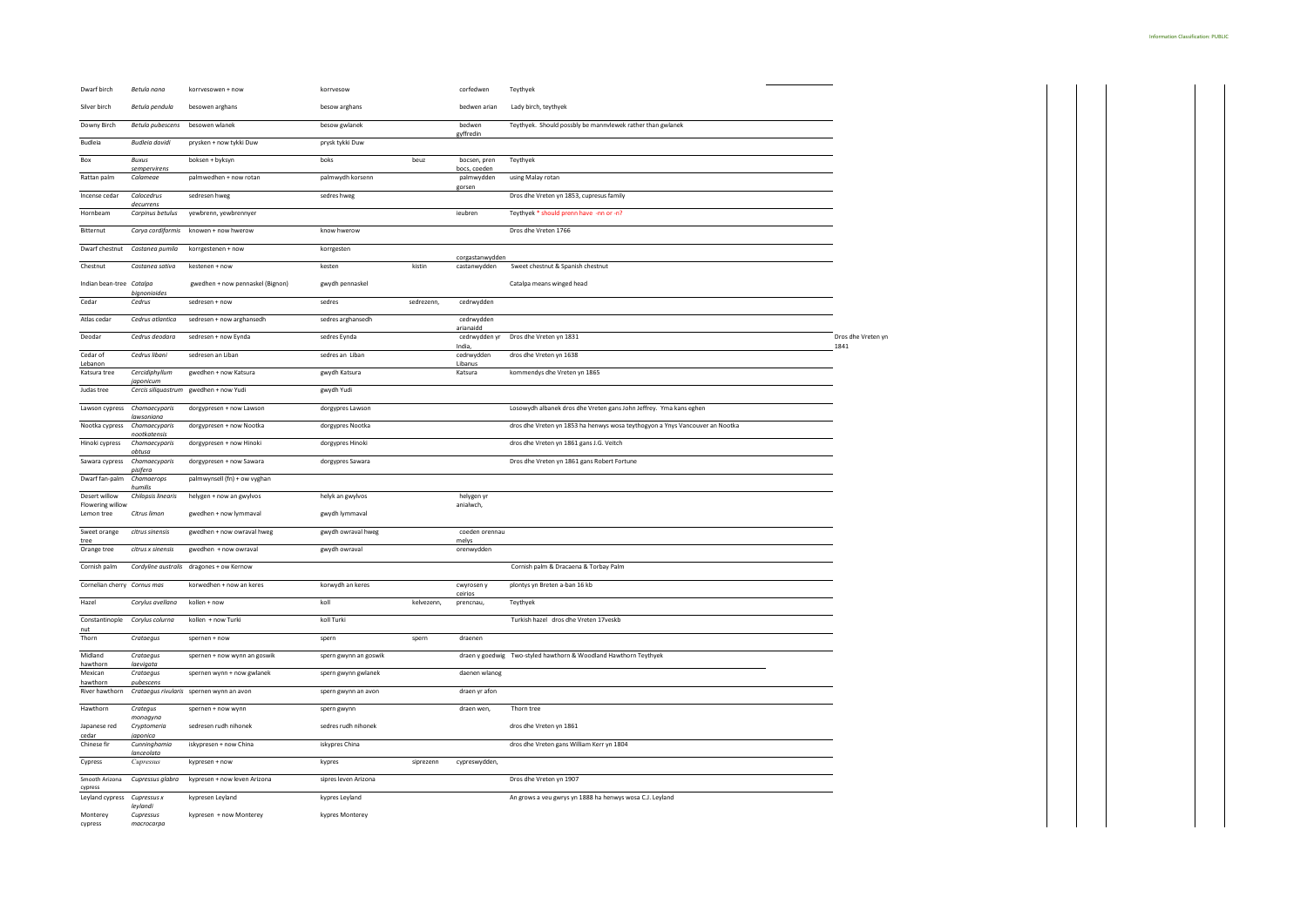| Dwarf birch                       | Betula nana                   | korrvesowen + now                        | korrvesow             |            | corfedwen                    | Teythyek                                                                     |                            |
|-----------------------------------|-------------------------------|------------------------------------------|-----------------------|------------|------------------------------|------------------------------------------------------------------------------|----------------------------|
| Silver birch                      | Betula pendula                | besowen arghans                          | besow arghans         |            | bedwen arian                 | Lady birch, teythyek                                                         |                            |
| Downy Birch                       | Betula pubescens              | besowen wlanek                           | besow gwlanek         |            | bedwen<br>gyffredin          | Teythyek. Should possbly be mannvlewek rather than gwlanek                   |                            |
| Budleia                           | <b>Budleia</b> davidi         | prysken + now tykki Duw                  | prysk tykki Duw       |            |                              |                                                                              |                            |
| Box                               | Buxus<br>sempervirens         | boksen + byksyn                          | boks                  | beuz       | bocsen, pren<br>bocs, coeden | Teythyek                                                                     |                            |
| Rattan palm                       | Calameae                      | palmwedhen + now rotan                   | palmwydh korsenn      |            | palmwydden<br>gorsen         | using Malay rotan                                                            |                            |
| Incense cedar                     | Calocedrus<br>decurrens       | sedresen hwee                            | sedres hwee           |            |                              | Dros dhe Vreten yn 1853, cupresus family                                     |                            |
| Hornbeam                          | Carpinus betulus              | yewbrenn, yewbrennyer                    |                       |            | ieubren                      | Teythyek * should prenn have -nn or -n?                                      |                            |
| Bitternut                         | Carya cordiformis             | knowen + now hwerow                      | know hwerow           |            |                              | Dros dhe Vreten 1766                                                         |                            |
| Dwarf chestnut                    | Castanea pumila               | korrgestenen + now                       | korrgesten            |            | corgastanwydden              |                                                                              |                            |
| Chestnut                          | Castanea sativa               | kestenen + now                           | kesten                | kistin     | castanwydden                 | Sweet chestnut & Spanish chestnut                                            |                            |
| Indian bean-tree Catalpa          | bignonioide                   | gwedhen + now pennaskel (Bignon)         | gwydh pennaskel       |            |                              | Catalpa means winged head                                                    |                            |
| Cedar                             | Cedrus                        | sedresen + now                           | sedres                | sedrezenn  | cedrwydden                   |                                                                              |                            |
| Atlas cedar                       | Cedrus atlantica              | sedresen + now arghansedh                | sedres arghansedh     |            | cedrwydden<br>arianaidd      |                                                                              |                            |
| Deodar                            | Cedrus deodara                | sedresen + now Eynda                     | sedres Eynda          |            | cedrwydden yr<br>India       | Dros dhe Vreten yn 1831                                                      | Dros dhe Vreten yn<br>1841 |
| Cedar of<br>Lebanon               | Cedrus libani                 | sedresen an Liban                        | sedres an Liban       |            | cedrwydden<br>Libanus        | dros dhe Vreten yn 1638                                                      |                            |
| Katsura tree                      | Cercidiphyllum<br>aponicum    | gwedhen + now Katsura                    | gwydh Katsura         |            | Katsura                      | kommendys dhe Vreten yn 1865                                                 |                            |
| Judas tree                        | Cercis siliquastrum           | gwedhen + now Yudi                       | gwydh Yudi            |            |                              |                                                                              |                            |
| Lawson cypress                    | Chamaecyparis<br>lawsoniana   | dorgypresen + now Lawson                 | dorgypres Lawson      |            |                              | Losowydh albanek dros dhe Vreten gans John Jeffrey. Yma kans eghen           |                            |
| Nootka cypress                    | Chamaecyparis<br>nootkatensis | dorgypresen + now Nootka                 | dorgypres Nootka      |            |                              | dros dhe Vreten yn 1853 ha henwys wosa teythogyon a Ynys Vancouver an Nootka |                            |
| Hinoki cypress                    | Chamaecyparis<br>obtusa       | dorgypresen + now Hinoki                 | dorgypres Hinoki      |            |                              | dros dhe Vreten yn 1861 gans J.G. Veitch                                     |                            |
| Sawara cypress                    | Chamaecyparis<br>pisifera     | dorgypresen + now Sawara                 | dorgypres Sawara      |            |                              | Dros dhe Vreten yn 1861 gans Robert Fortune                                  |                            |
| Dwarf fan-palm                    | Chamaerops<br>humilis         | palmwynsell (fn) + ow vyghan             |                       |            |                              |                                                                              |                            |
| Desert willow<br>Flowering willow | Chilopsis linearis            | helygen + now an gwylvos                 | helyk an gwylvos      |            | helygen yr<br>anialwch.      |                                                                              |                            |
| Lemon tree                        | Citrus limon                  | gwedhen + now lymmaval                   | gwydh lymmaval        |            |                              |                                                                              |                            |
| Sweet orange<br>tree              | citrus sinensis               | gwedhen + now owraval hweg               | gwydh owraval hweg    |            | coeden orennau<br>mely:      |                                                                              |                            |
| Orange tree                       | citrus x sinensis             | gwedhen + now owraval                    | gwydh owraval         |            | orenwydden                   |                                                                              |                            |
| Cornish palm                      |                               | Cordyline australis dragones + ow Kernow |                       |            |                              | Cornish palm & Dracaena & Torbay Palm                                        |                            |
| Cornelian cherry Cornus mas       |                               | korwedhen + now an keres                 | korwydh an keres      |            | cwyrosen y<br>ceirios        | plontys yn Breten a-ban 16 kb                                                |                            |
| Hazel                             | Corylus avellana              | kollen + now                             | koll                  | kelvezenn, | prencnau,                    | Teythyek                                                                     |                            |
| Constantinople<br>nut             | Corylus colurna               | kollen + now Turki                       | koll Turki            |            |                              | Turkish hazel dros dhe Vreten 17veskb                                        |                            |
| Thorn                             | Crataegus                     | spernen + now                            | spern                 | spern      | draenen                      |                                                                              |                            |
| Midland<br>hawthorn               | Crataegus<br>laevigata        | spernen + now wynn an goswik             | spern gwynn an goswik |            |                              | draen y goedwig Two-styled hawthorn & Woodland Hawthorn Teythyek             |                            |
| Mexican<br>hawthorn               | Crataegus<br>pubescens        | spernen wynn + now gwlanek               | spern gwynn gwlanek   |            | daenen wlanog                |                                                                              |                            |
| River hawthorn                    |                               | Crataegus rivularis spernen wynn an avon | spern gwynn an avon   |            | draen yr afon                |                                                                              |                            |
| Hawthorn                          | Crategus<br>monogyna          | spernen + now wynn                       | spern gwynn           |            | draen wen,                   | Thorn tree                                                                   |                            |
| Japanese red<br>cedar             | Cryptomeria<br>japonica       | sedresen rudh nihonek                    | sedres rudh nihonek   |            |                              | dros dhe Vreten yn 1861                                                      |                            |
| Chinese fir                       | Cunninghamia<br>lanceolata    | iskypresen + now China                   | iskypres China        |            |                              | dros dhe Vreten gans William Kerr yn 1804                                    |                            |
| Cypress                           | Cupressus                     | kypresen + now                           | kypres                | siprezenn  | cypreswydden,                |                                                                              |                            |
| Smooth Arizona<br>cypress         | Cupressus glabra              | kypresen + now leven Arizona             | sipres leven Arizona  |            |                              | Dros dhe Vreten yn 1907                                                      |                            |
| Leyland cypress                   | Cupressus x<br>leylandi       | kypresen Leyland                         | kypres Leyland        |            |                              | An grows a veu gwrys yn 1888 ha henwys wosa C.J. Leyland                     |                            |
| Monterey<br>cypress               | Cupressus<br>macrocarpa       | kypresen + now Monterey                  | kypres Monterey       |            |                              |                                                                              |                            |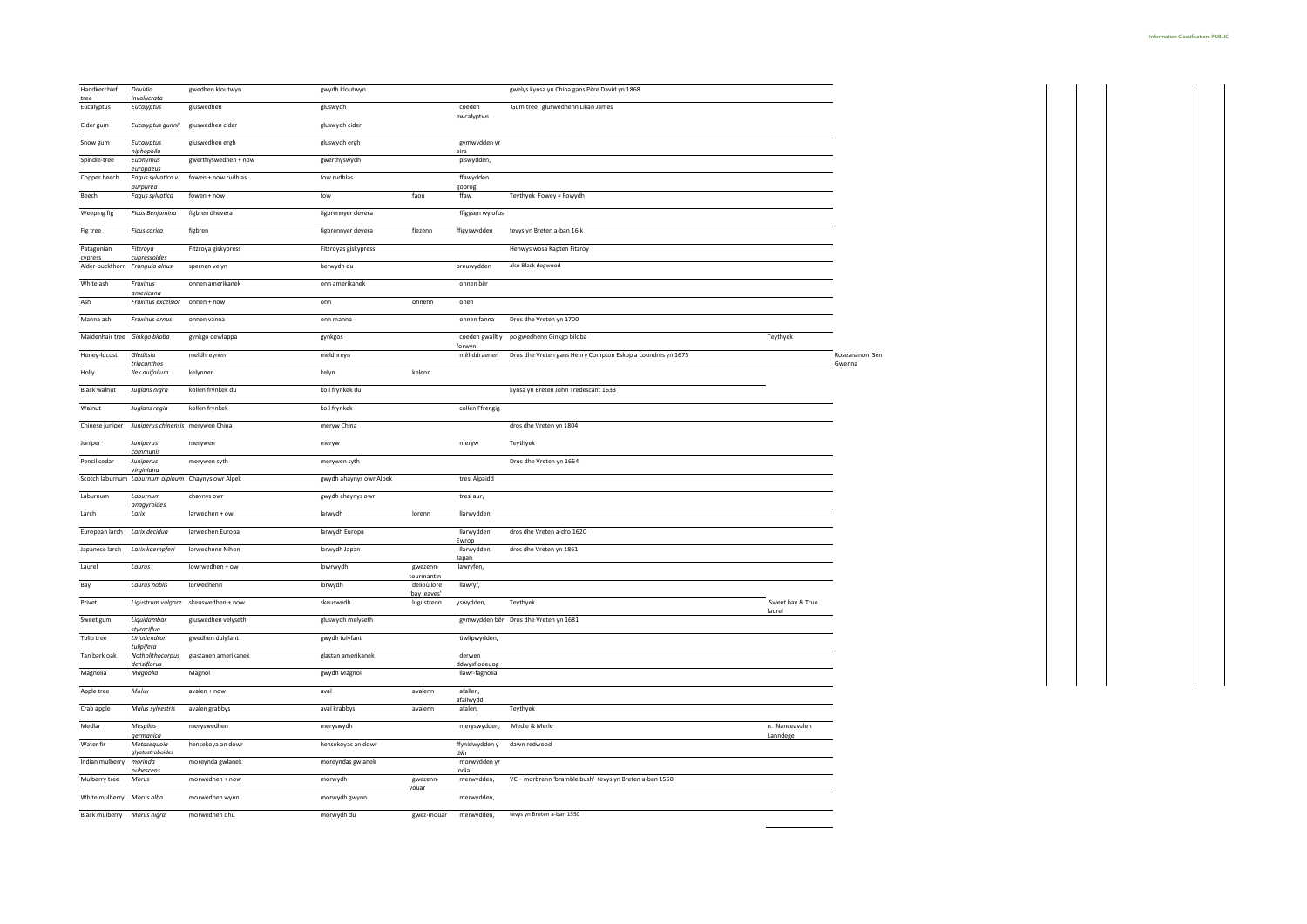| Handkerchief<br>tree           | Davidia<br>involucrata                             | gwedhen kloutwyn     | gwydh kloutwyn          |                             |                            | gwelys kynsa yn China gans Père David yn 1868               |                          |
|--------------------------------|----------------------------------------------------|----------------------|-------------------------|-----------------------------|----------------------------|-------------------------------------------------------------|--------------------------|
| Eucalyptus                     | Eucalyptus                                         | gluswedhen           | gluswydh                |                             | coeden<br>ewcalyptws       | Gum tree gluswedhenn Lilian James                           |                          |
| Cider gum                      | Eucalyptus gunnii                                  | gluswedhen cider     | gluswydh cider          |                             |                            |                                                             |                          |
| Snow gum                       | Eucalyptus<br>niphophila                           | gluswedhen ergh      | gluswydh ergh           |                             | gymwydden yr<br>eira       |                                                             |                          |
| Spindle-tree                   | Euonymus                                           | gwerthyswedhen + now | gwerthyswydh            |                             | piswydden,                 |                                                             |                          |
| Copper beech                   | europaeus<br>Fagus sylvatica v.<br>purpurea        | fowen + now rudhlas  | fow rudhlas             |                             | ffawydden<br>goprog        |                                                             |                          |
| Beech                          | Fagus sylvatica                                    | fowen + now          | fow                     | faou                        | ffaw                       | Teythyek Fowey = Fowydh                                     |                          |
| Weeping fig                    | Ficus Benjamina                                    | figbren dhevera      | figbrennyer devera      |                             | ffigysen wylofus           |                                                             |                          |
| Fig tree                       | <b>Ficus carica</b>                                | figbren              | figbrennyer devera      | fiezenn                     | ffigyswydden               | tevys yn Breten a-ban 16 k                                  |                          |
| Patagonian<br>cypress          | Fitzroya<br>cupressoides                           | Fitzroya giskypress  | Fitzroyas giskypress    |                             |                            | Henwys wosa Kapten Fitzroy                                  |                          |
| Alder-buckthorn Frangula alnus |                                                    | spernen velyn        | berwydh du              |                             | breuwydden                 | also Black dogwood                                          |                          |
| White ash                      | Fraxinus<br>americana                              | onnen amerikanek     | onn amerikanek          |                             | onnen bêr                  |                                                             |                          |
| Ash                            | Fraxinus excelsior                                 | onnen + now          | onn                     | onnenn                      | onen                       |                                                             |                          |
| Manna ash                      | Fraxinus ornus                                     | onnen vanna          | onn manna               |                             | onnen fanna                | Dros dhe Vreten yn 1700                                     |                          |
| Maidenhair tree Ginkgo biloba  |                                                    | gynkgo dewlappa      | gynkgos                 |                             | coeden gwallt y<br>forwyn. | Teythyek<br>po gwedhenn Ginkgo biloba                       |                          |
| Honey-locust                   | Gleditsia<br>triacanthos                           | meldhreynen          | meldhreyn               |                             | mêl-ddraenen               | Dros dhe Vreten gans Henry Compton Eskop a Loundres yn 1675 | Roseananon Sen<br>Gwenna |
| Holly                          | Ilex auifolium                                     | kelynnen             | kelyn                   | kelenn                      |                            |                                                             |                          |
| <b>Black walnut</b>            | Juglans nigra                                      | kollen frynkek du    | koll frynkek du         |                             |                            | kynsa yn Breten John Tredescant 1633                        |                          |
| Walnut                         | Juglans regia                                      | kollen frynkek       | koll frynkek            |                             | collen Ffrengig            |                                                             |                          |
| Chinese juniper                | Juniperus chinensis merywen China                  |                      | meryw China             |                             |                            | dros dhe Vreten yn 1804                                     |                          |
| Juniper                        | Juniperus<br>communis                              | merywen              | meryw                   |                             | meryw                      | Teythyek                                                    |                          |
| Pencil cedar                   | Juniperus<br>virginiana                            | merywen syth         | merywen syth            |                             |                            | Dros dhe Vreten yn 1664                                     |                          |
|                                | Scotch laburnum Laburnum alpinum Chaynys owr Alpek |                      | gwydh ahaynys owr Alpek |                             | tresi Alpaidd              |                                                             |                          |
| Laburnum                       | Laburnum<br>anaavroides                            | chaynys owr          | gwydh chaynys owr       |                             | tresi aur,                 |                                                             |                          |
| Larch                          | Larix                                              | larwedhen + ow       | larwydh                 | lorenn                      | llarwydden,                |                                                             |                          |
| European larch                 | Larix decidua                                      | larwedhen Europa     | larwydh Europa          |                             | llarwydden<br>Ewrop        | dros dhe Vreten a-dro 1620                                  |                          |
| Japanese larch                 | Larix kaempferi                                    | larwedhenn Nihon     | larwydh Japan           |                             | llarwydden<br>Japan        | dros dhe Vreten yn 1861                                     |                          |
| Laurel                         | Laurus                                             | lowrwedhen + ow      | lowrwydh                | ewezenn-<br>tourmantin      | llawryfen,                 |                                                             |                          |
| Bay                            | Laurus noblis                                      | lorwedhenn           | lorwydh                 | delioù lore<br>'bay leaves' | llawryf,                   |                                                             |                          |
| Privet                         | Ligustrum vulgare                                  | skeuswedhen + now    | skeuswydh               | lugustrenn                  | yswydden,                  | Teythyek<br>Sweet bay & True<br>laurel                      |                          |
| Sweet gum                      | Liquidambar<br>styraciflua                         | gluswedhen velyseth  | gluswydh melyseth       |                             |                            | gymwydden bêr Dros dhe Vreten yn 1681                       |                          |
| Tulip tree                     | Liriodendron<br>tulipifera                         | gwedhen dulyfant     | gwydh tulyfant          |                             | tiwlipwydden,              |                                                             |                          |
| Tan bark oak                   | Notholithocarpus<br>densiflorus                    | glastanen amerikanek | glastan amerikanek      |                             | derwen<br>ddwysflodeuog    |                                                             |                          |
| Magnolia                       | Magnolia                                           | Magnol               | gwydh Magnol            |                             | llawr-fagnolia             |                                                             |                          |
| Apple tree                     | Malus                                              | avalen + now         | aval                    | avalenn                     | afallen,<br>afallwydd      |                                                             |                          |
| Crab apple                     | Malus sylvestris                                   | avalen grabbys       | aval krabbys            | avalenn                     | afalen,                    | Teythyek                                                    |                          |
| Medlar                         | Mespilus<br>germanica                              | meryswedhen          | meryswydh               |                             | meryswydden,               | Medle & Merle<br>n. Nanceavalen<br>Lanndege                 |                          |
| Water fir                      | Metasequoia<br>glyptostroboides                    | hensekoya an dowr    | hensekoyas an dowr      |                             | ffynidwydden y<br>dŵr      | dawn redwood                                                |                          |
| Indian mulberry                | morinda<br>pubescen:                               | moreynda gwlanek     | moreyndas gwlanek       |                             | morwydden yr<br>India      |                                                             |                          |
| Mulberry tree                  | Morus                                              | morwedhen + now      | morwydh                 | gwezenn-<br>vouar           | merwydden,                 | VC - morbrenn 'bramble bush' tevys yn Breten a-ban 1550     |                          |
| White mulberry Morus alba      |                                                    | morwedhen wynn       | morwydh gwynn           |                             | merwydden,                 |                                                             |                          |
| Black mulberry Morus nigra     |                                                    | morwedhen dhu        | morwydh du              | gwez-mouar                  | merwydden,                 | tevys yn Breten a-ban 1550                                  |                          |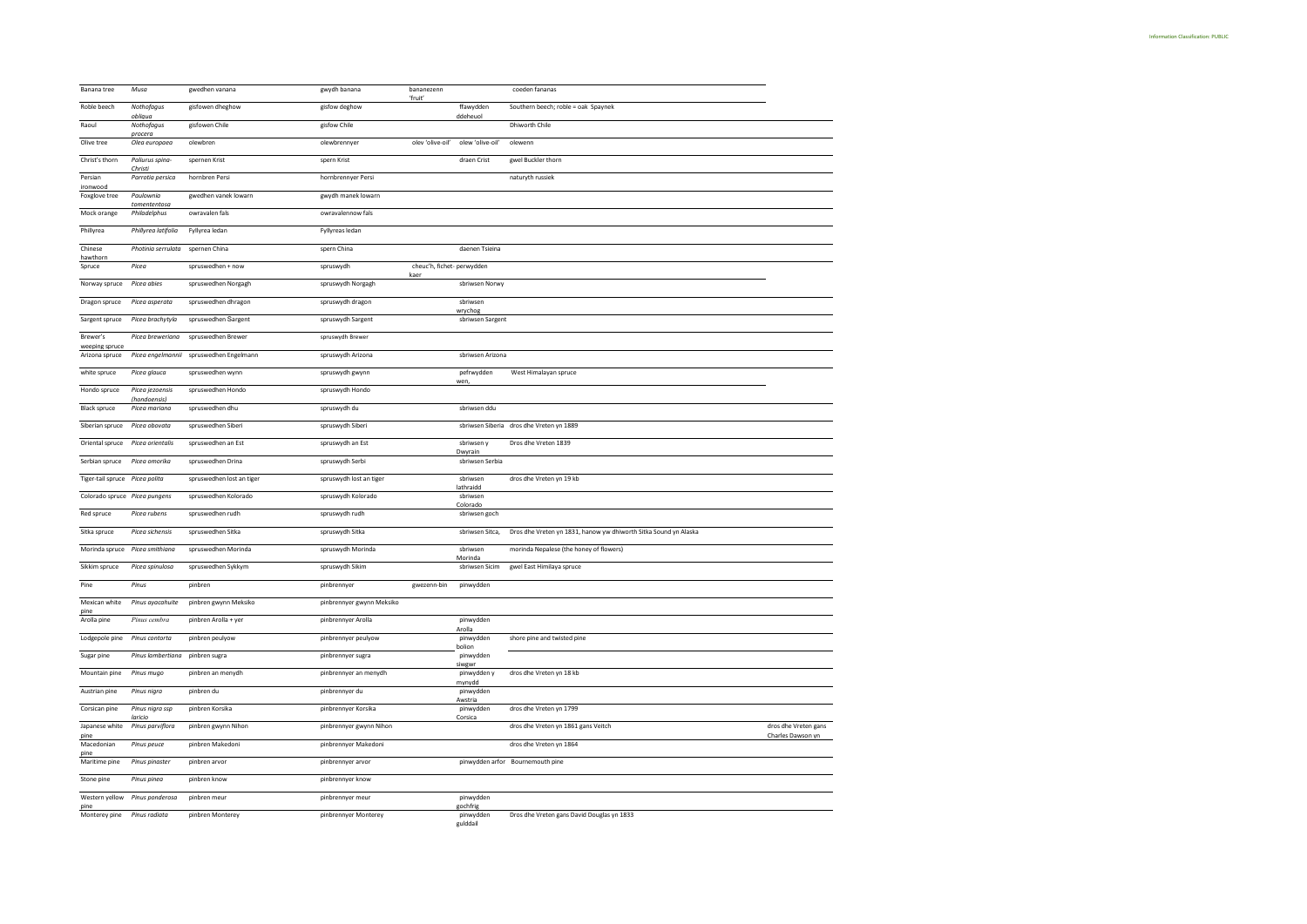| Banana tree                      | Musa                          | gwedhen vanana            | gwydh banana              | bananezenn                         |                             | coeden fananas                                                   |                      |
|----------------------------------|-------------------------------|---------------------------|---------------------------|------------------------------------|-----------------------------|------------------------------------------------------------------|----------------------|
| Roble beech                      | Nothofagus<br>obliqua         | gisfowen dheghow          | gisfow deghow             | 'fruit'                            | ffawydden<br>ddeheuol       | Southern beech; roble = oak Spaynek                              |                      |
| Raoul                            | Nothofagus<br>procera         | gisfowen Chile            | gisfow Chile              |                                    |                             | Dhiworth Chile                                                   |                      |
| Olive tree                       | Olea europaea                 | olewbren                  | olewbrennyer              | olev 'olive-oil'                   | olew 'olive-oil'            | olewenn                                                          |                      |
| Christ's thorn                   | Paliurus spina-<br>Christ     | spernen Krist             | spern Krist               |                                    | draen Crist                 | gwel Buckler thorn                                               |                      |
| Persian<br>ironwood              | Parrotia persica              | hornbren Persi            | hornbrennyer Persi        |                                    |                             | naturyth russiek                                                 |                      |
| Foxglove tree                    | Paulownia<br>tomententosa     | gwedhen vanek lowarn      | gwydh manek lowarn        |                                    |                             |                                                                  |                      |
| Mock orange                      | Philadelphus                  | owravalen fals            | owravalennow fals         |                                    |                             |                                                                  |                      |
| Phillyrea                        | Phillyrea latifolia           | Fyllyrea ledan            | Fyllyreas ledan           |                                    |                             |                                                                  |                      |
| Chinese<br>hawthorn              | Photinia serrulata            | spernen China             | spern China               |                                    | daenen Tsieina              |                                                                  |                      |
| Spruce                           | Picea                         | spruswedhen + now         | spruswydh                 | cheuc'h, fichet- perwydden<br>kaer |                             |                                                                  |                      |
| Norway spruce                    | Picea abies                   | spruswedhen Norgagh       | spruswydh Norgagh         |                                    | sbriwsen Norwy              |                                                                  |                      |
| Dragon spruce                    | Picea asperata                | spruswedhen dhragon       | spruswydh dragon          |                                    | sbriwsen                    |                                                                  |                      |
| Sargent spruce                   | Picea brachytyla              | spruswedhen Sargent       | spruswydh Sargent         |                                    | wrychog<br>sbriwsen Sargent |                                                                  |                      |
| Brewer's                         | Picea breweriana              | spruswedhen Brewer        | spruswydh Brewer          |                                    |                             |                                                                  |                      |
| weeping spruce<br>Arizona spruce | Picea engelmannii             | spruswedhen Engelmann     | spruswydh Arizona         |                                    | sbriwsen Arizona            |                                                                  |                      |
| white spruce                     | Picea glauca                  | spruswedhen wynn          | spruswydh gwynn           |                                    | pefrwydden                  | West Himalayan spruce                                            |                      |
| Hondo spruce                     | Picea jezoensis               | spruswedhen Hondo         | spruswydh Hondo           |                                    | wen                         |                                                                  |                      |
| <b>Black spruce</b>              | (hondoensis)<br>Picea mariana | spruswedhen dhu           | spruswydh du              |                                    | sbriwsen ddu                |                                                                  |                      |
| Siberian spruce                  | Picea obovata                 | spruswedhen Siberi        | spruswydh Siberi          |                                    |                             | sbriwsen Siberia dros dhe Vreten yn 1889                         |                      |
| Oriental spruce                  | Picea orientalis              | spruswedhen an Est        | spruswydh an Est          |                                    | sbriwsen y                  | Dros dhe Vreten 1839                                             |                      |
| Serbian spruce                   | Picea omorika                 | spruswedhen Drina         | spruswydh Serbi           |                                    | Dwyrain<br>sbriwsen Serbia  |                                                                  |                      |
| Tiger-tail spruce                | Picea polita                  | spruswedhen lost an tiger | spruswydh lost an tiger   |                                    | sbriwsen                    | dros dhe Vreten yn 19 kb                                         |                      |
| Colorado spruce Picea pungens    |                               | spruswedhen Kolorado      | spruswydh Kolorado        |                                    | lathraidd<br>sbriwsen       |                                                                  |                      |
| Red spruce                       | Picea rubens                  | spruswedhen rudh          | spruswydh rudh            |                                    | Colorado<br>sbriwsen goch   |                                                                  |                      |
| Sitka spruce                     | Picea sichensis               | spruswedhen Sitka         | spruswydh Sitka           |                                    | sbriwsen Sitca,             | Dros dhe Vreten yn 1831, hanow yw dhiworth Sitka Sound yn Alaska |                      |
| Morinda spruce Picea smithiana   |                               | spruswedhen Morinda       | spruswydh Morinda         |                                    | sbriwsen                    | morinda Nepalese (the honey of flowers)                          |                      |
| Sikkim spruce                    | Picea spinulosa               | spruswedhen Sykkym        | spruswydh Sikim           |                                    | Morinda<br>sbriwsen Sicim   | gwel East Himilaya spruce                                        |                      |
| Pine                             | Pinus                         | pinbren                   | pinbrennyer               | gwezenn-bin                        | pinwydden                   |                                                                  |                      |
| Mexican white                    | Pinus ayacahuite              | pinbren gwynn Meksiko     | pinbrennyer gwynn Meksiko |                                    |                             |                                                                  |                      |
| pine<br>Arolla pine              | Pinus cembra                  | pinbren Arolla + yer      | pinbrennyer Arolla        |                                    | pinwydden                   |                                                                  |                      |
| Lodgepole pine                   | Pinus contorta                | pinbren peulyow           | pinbrennyer peulyow       |                                    | Arolla<br>pinwydden         | shore pine and twisted pine                                      |                      |
| Sugar pine                       | Pinus lambertiana             | pinbren sugra             | pinbrennyer sugra         |                                    | bolion<br>pinwydden         |                                                                  |                      |
| Mountain pine                    | Pinus mugo                    | pinbren an menydh         | pinbrennyer an menydh     |                                    | siwgwr<br>pinwydden y       | dros dhe Vreten yn 18 kb                                         |                      |
| Austrian pine                    | Pinus nigra                   | pinbren du                | pinbrennyer du            |                                    | mynydd<br>pinwydden         |                                                                  |                      |
| Corsican pine                    | Pinus nigra ssp               | pinbren Korsika           | pinbrennyer Korsika       |                                    | Awstria<br>pinwydden        | dros dhe Vreten vn 1799                                          |                      |
| Japanese white                   | laricio<br>Pinus parviflora   | pinbren gwynn Nihon       | pinbrennyer gwynn Nihon   |                                    | Corsica                     | dros dhe Vreten yn 1861 gans Veitch                              | dros dhe Vreten gans |
| pine                             |                               |                           |                           |                                    |                             |                                                                  | Charles Dawson yn    |
| Macedonian<br>pine               | Pinus peuce                   | pinbren Makedoni          | pinbrennyer Makedoni      |                                    |                             | dros dhe Vreten yn 1864                                          |                      |
| Maritime pine                    | Pinus pinaster                | pinbren arvor             | pinbrennyer arvor         |                                    |                             | pinwydden arfor Bournemouth pine                                 |                      |
| Stone pine                       | Pinus pinea                   | pinbren know              | pinbrennyer know          |                                    |                             |                                                                  |                      |
| Western yellow<br>pine           | Pinus ponderosa               | pinbren meur              | pinbrennyer meur          |                                    | pinwydden<br>gochfrig       |                                                                  |                      |
| Monterey pine                    | Pinus radiata                 | pinbren Monterey          | pinbrennyer Monterey      |                                    | pinwydden<br>eulddail       | Dros dhe Vreten gans David Douglas yn 1833                       |                      |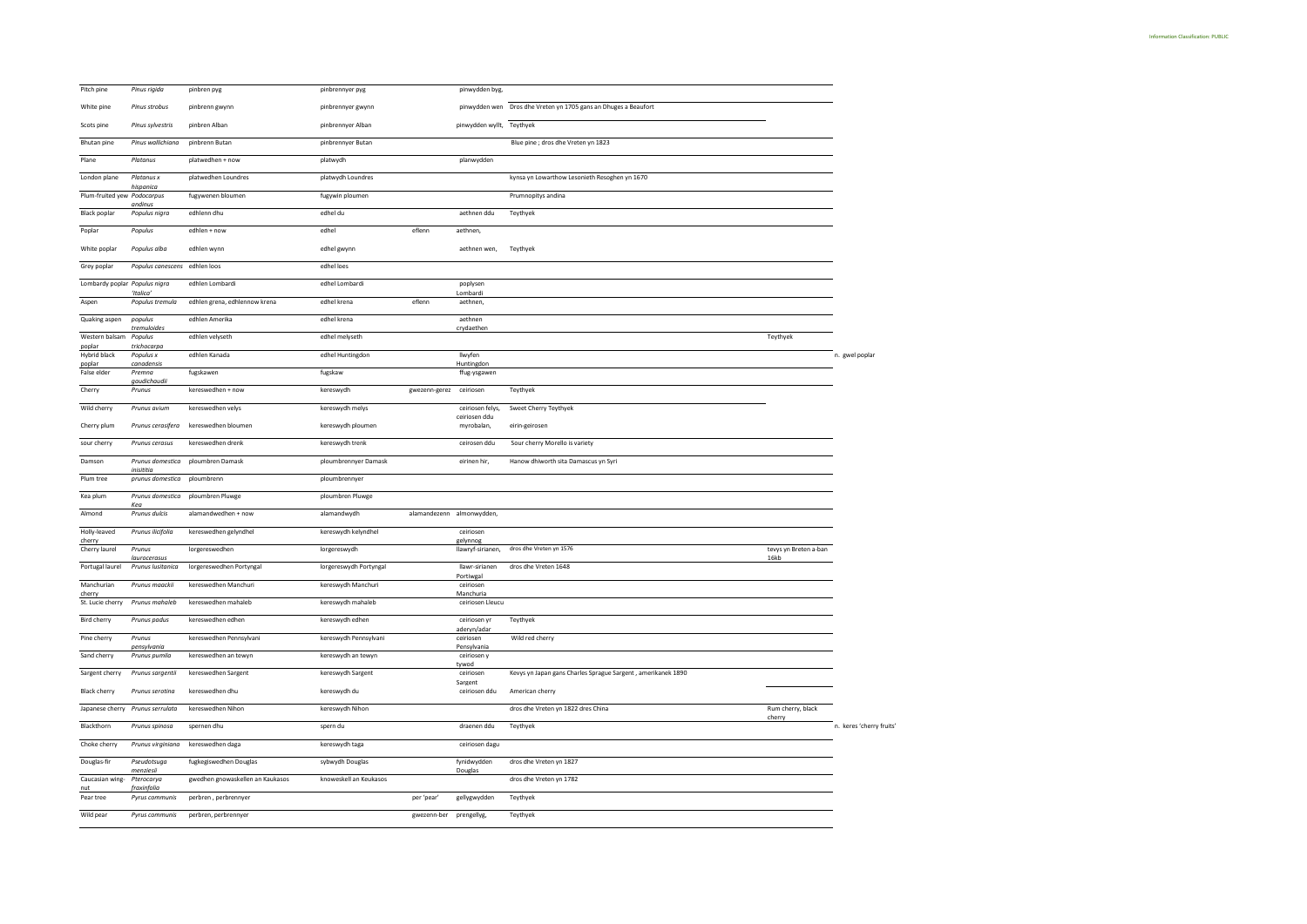| Pitch pine                    | Pinus rigida                      | pinbren pyg                      | pinbrennyer pyg        |                         | pinwydden byg,                |                                                                 |                       |                          |
|-------------------------------|-----------------------------------|----------------------------------|------------------------|-------------------------|-------------------------------|-----------------------------------------------------------------|-----------------------|--------------------------|
| White pine                    | Pinus strobus                     | pinbrenn gwynn                   | pinbrennyer gwynn      |                         |                               | pinwydden wen Dros dhe Vreten yn 1705 gans an Dhuges a Beaufort |                       |                          |
| Scots pine                    | Pinus sylvestris                  | pinbren Alban                    | pinbrennyer Alban      |                         | pinwydden wyllt, Teythyek     |                                                                 |                       |                          |
| Bhutan pine                   | Pinus wallichiana                 | pinbrenn Butan                   | pinbrennyer Butan      |                         |                               | Blue pine ; dros dhe Vreten yn 1823                             |                       |                          |
| Plane                         | Platanus                          | platwedhen + now                 | platwydh               |                         | planwydden                    |                                                                 |                       |                          |
| London plane                  | Platanus x                        | platwedhen Loundres              | platwydh Loundres      |                         |                               | kynsa yn Lowarthow Lesonieth Resoghen yn 1670                   |                       |                          |
| Plum-fruited yew Podocarpus   | hispanica                         | fugywenen bloumen                | fugywin ploumen        |                         |                               | Prumnopitys andina                                              |                       |                          |
| <b>Black poplar</b>           | andinus<br>Populus nigra          | edhlenn dhu                      | edhel du               |                         | aethnen ddu                   | Teythyek                                                        |                       |                          |
| Poplar                        | Populus                           | edhlen + now                     | edhel                  | eflenn                  | aethnen,                      |                                                                 |                       |                          |
| White poplar                  | Populus alba                      | edhlen wynn                      | edhel gwynn            |                         | aethnen wen,                  | Teythyek                                                        |                       |                          |
| Grey poplar                   | Populus canescens                 | edhlen loos                      | edhel loes             |                         |                               |                                                                 |                       |                          |
| Lombardy poplar Populus nigra |                                   | edhlen Lombardi                  | edhel Lombardi         |                         | poplysen                      |                                                                 |                       |                          |
| Aspen                         | 'Italica<br>Populus tremula       | edhlen grena, edhlennow krena    | edhel krena            | eflenn                  | Lombardi<br>aethnen.          |                                                                 |                       |                          |
| Quaking aspen                 | populus                           | edhlen Amerika                   | edhel krena            |                         | aethnen                       |                                                                 |                       |                          |
| Western balsam                | tremuloide<br>Populus             | edhlen velyseth                  | edhel melyseth         |                         | crydaethen                    |                                                                 | Teythyek              |                          |
| poplar<br>Hybrid black        | trichocarpa<br>Populus x          | edhlen Kanada                    | edhel Huntingdon       |                         | Ilwyfen                       |                                                                 |                       | n. gwel poplar           |
| poplar<br>False elder         | canadensis<br>Premna              | fugskawen                        | fugskaw                |                         | Huntingdon<br>ffug-ysgawen    |                                                                 |                       |                          |
| Cherry                        | gaudichaudii<br>Prunus            | kereswedhen + now                | kereswydh              | gwezenn-gerez ceiriosen |                               | Teythyek                                                        |                       |                          |
| Wild cherry                   | Prunus avium                      | kereswedhen velys                | kereswydh melys        |                         | ceiriosen felys,              | Sweet Cherry Teythyek                                           |                       |                          |
| Cherry plum                   | Prunus cerasifera                 | kereswedhen bloumen              | kereswydh ploumen      |                         | ceiriosen ddu<br>myrobalan,   | eirin-geirosen                                                  |                       |                          |
| sour cherry                   | Prunus cerasus                    | kereswedhen drenk                | kereswydh trenk        |                         | ceirosen ddu                  | Sour cherry Morello is variety                                  |                       |                          |
| Damson                        | Prunus domestica                  | ploumbren Damask                 | ploumbrennyer Damask   |                         | eirinen hir,                  | Hanow dhiworth sita Damascus yn Syri                            |                       |                          |
| Plum tree                     | inisititia<br>prunus domestica    | ploumbrenn                       | ploumbrennyer          |                         |                               |                                                                 |                       |                          |
| Kea plum                      | Prunus domestica                  | ploumbren Pluwge                 | ploumbren Pluwge       |                         |                               |                                                                 |                       |                          |
| Almond                        | Kea<br>Prunus dulcis              | alamandwedhen + now              | alamandwydh            |                         | alamandezenn almonwydden,     |                                                                 |                       |                          |
| Holly-leaved                  | Prunus ilicifolia                 | kereswedhen gelyndhel            | kereswydh kelyndhel    |                         | ceiriosen                     |                                                                 |                       |                          |
| cherry<br>Cherry laurel       | Prunus                            | lorgereswedhen                   | lorgereswydh           |                         | gelynnog<br>llawryf-sirianen, | dros dhe Vreten yn 1576                                         | tevys yn Breten a-ban |                          |
| Portugal laurel               | laurocerasus<br>Prunus Iusitanica | lorgereswedhen Portyngal         | lorgereswydh Portyngal |                         | llawr-sirianen                | dros dhe Vreten 1648                                            | 16kb                  |                          |
| Manchurian                    | Prunus maackii                    | kereswedhen Manchuri             | kereswydh Manchuri     |                         | Portiwgal<br>ceiriosen        |                                                                 |                       |                          |
| cherry<br>St. Lucie cherry    | Prunus mahaleb                    | kereswedhen mahaleb              | kereswydh mahaleb      |                         | Manchuria<br>ceiriosen Lleucu |                                                                 |                       |                          |
| Bird cherry                   | Prunus padus                      | kereswedhen edhen                | kereswydh edhen        |                         | ceiriosen yr                  | Teythyek                                                        |                       |                          |
| Pine cherry                   | Prunus<br>pensylvania             | kereswedhen Pennsylvani          | kereswydh Pennsylvani  |                         | aderyn/adar<br>ceiriosen      | Wild red cherry                                                 |                       |                          |
| Sand cherry                   | Prunus pumila                     | kereswedhen an tewyn             | kereswydh an tewyn     |                         | Pensylvania<br>ceiriosen y    |                                                                 |                       |                          |
| Sargent cherry                | Prunus sargentii                  | kereswedhen Sargent              | kereswydh Sargent      |                         | tywod<br>ceiriosen            | Kevys yn Japan gans Charles Sprague Sargent, amerikanek 1890    |                       |                          |
| <b>Black cherry</b>           | Prunus serotina                   | kereswedhen dhu                  | kereswydh du           |                         | Sargent<br>ceiriosen ddu      | American cherry                                                 |                       |                          |
|                               | Japanese cherry Prunus serrulata  | kereswedhen Nihon                | kereswydh Nihon        |                         |                               | dros dhe Vreten yn 1822 dres China                              | Rum cherry, black     |                          |
| Blackthorn                    | Prunus spinosa                    | spernen dhu                      | spern du               |                         | draenen ddu                   | Teythyek                                                        | cherry                | n. keres 'cherry fruits' |
| Choke cherry                  | Prunus virginiana                 | kereswedhen daga                 | kereswydh taga         |                         | ceiriosen dagu                |                                                                 |                       |                          |
| Douglas-fir                   | Pseudotsuga                       | fugkegiswedhen Douglas           | sybwydh Douglas        |                         | fynidwydden                   | dros dhe Vreten yn 1827                                         |                       |                          |
| Caucasian wing-               | menziesii<br>Pterocarya           | gwedhen gnowaskellen an Kaukasos | knoweskell an Keukasos |                         | Douglas                       | dros dhe Vreten yn 1782                                         |                       |                          |
| nut<br>Pear tree              | fraxinfolia<br>Pyrus communis     | perbren, perbrennyer             |                        | per 'pear               | gellygwydden                  | Teythyek                                                        |                       |                          |
| Wild pear                     | Pyrus communis                    | perbren, perbrennyer             |                        | gwezenn-ber             | prengellyg,                   | Teythyek                                                        |                       |                          |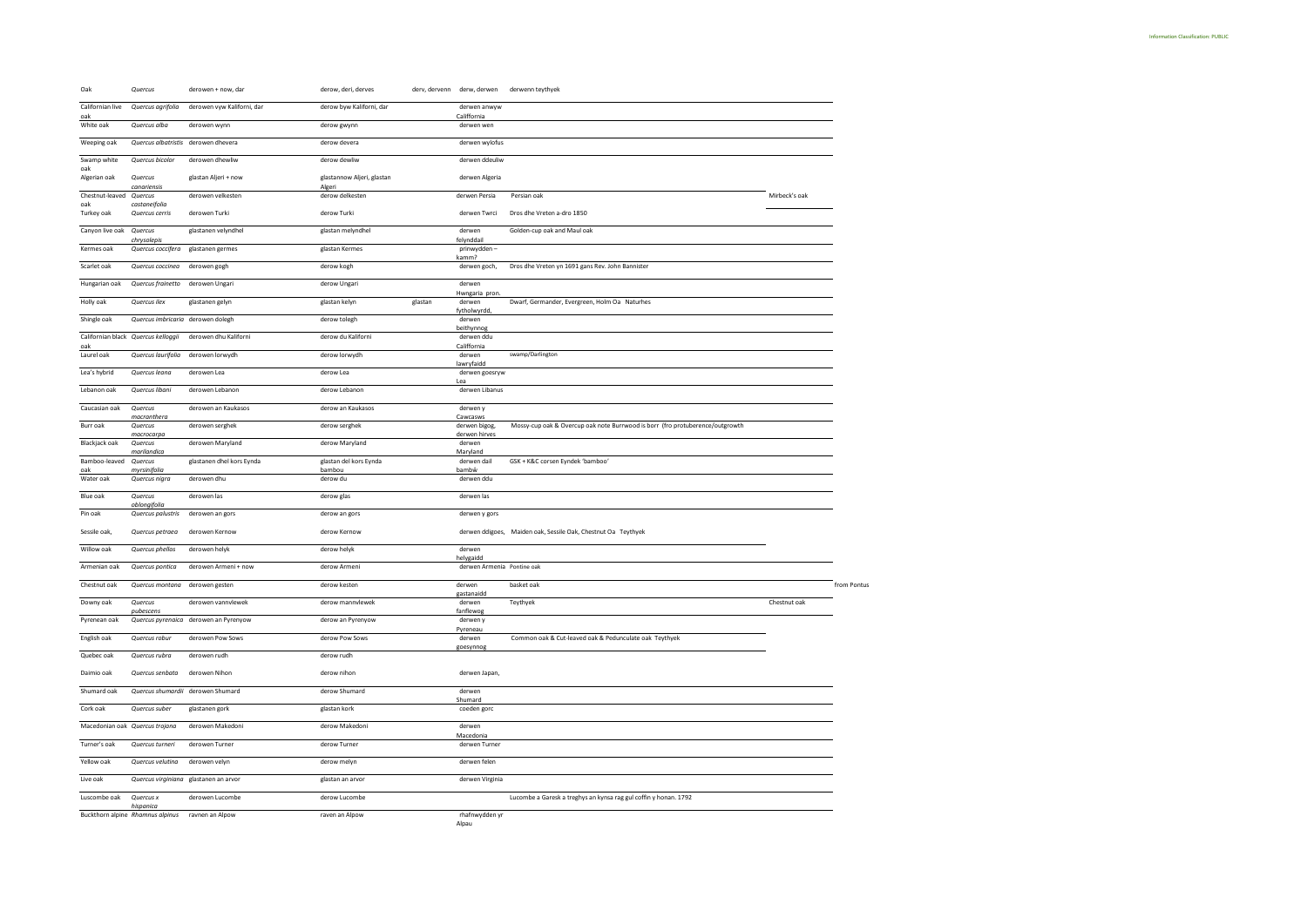| Oak                              | Quercus                             | derowen + now, dar                    | derow, deri, derves                  |         | derv, dervenn derw, derwen     | derwenn teythyek                                                              |               |             |
|----------------------------------|-------------------------------------|---------------------------------------|--------------------------------------|---------|--------------------------------|-------------------------------------------------------------------------------|---------------|-------------|
| Californian live<br>oak          | Quercus agrifolia                   | derowen vyw Kaliforni, dar            | derow byw Kaliforni, dar             |         | derwen anwyw<br>Califfornia    |                                                                               |               |             |
| White oak                        | Quercus alba                        | derowen wynn                          | derow gwynn                          |         | derwen wen                     |                                                                               |               |             |
| Weeping oak                      |                                     | Quercus albatristis derowen dhevera   | derow devera                         |         | derwen wylofus                 |                                                                               |               |             |
| Swamp white<br>oak               | Quercus bicolor                     | derowen dhewliw                       | derow dewliw                         |         | derwen ddeuliw                 |                                                                               |               |             |
| Algerian oak                     | Quercus<br>canariensis              | glastan Aljeri + now                  | glastannow Aljeri, glastan<br>Algeri |         | derwen Algeria                 |                                                                               |               |             |
| Chestnut-leaved Quercus<br>oak   | castaneifolia                       | derowen velkesten                     | derow delkesten                      |         | derwen Persia                  | Persian oak                                                                   | Mirbeck's oak |             |
| Turkey oak                       | Quercus cerris                      | derowen Turki                         | derow Turki                          |         | derwen Twrci                   | Dros dhe Vreten a-dro 1850                                                    |               |             |
| Canyon live oak                  | Quercus<br>chrysolepis              | glastanen velyndhel                   | glastan melyndhel                    |         | derwen<br>felynddail           | Golden-cup oak and Maul oak                                                   |               |             |
| Kermes oak                       | Quercus coccifera                   | glastanen germes                      | glastan Kermes                       |         | prinwydden-<br>kamm?           |                                                                               |               |             |
| Scarlet oak                      | Quercus coccinea                    | derowen gogh                          | derow kogh                           |         | derwen goch,                   | Dros dhe Vreten yn 1691 gans Rev. John Bannister                              |               |             |
| Hungarian oak                    | Quercus frainetto                   | derowen Ungari                        | derow Ungari                         |         | derwen<br>Hwngaria pron        |                                                                               |               |             |
| Holly oak                        | Quercus ilex                        | glastanen gelyn                       | glastan kelyn                        | glastan | derwen<br>fytholwyrdd,         | Dwarf, Germander, Evergreen, Holm Oa Naturhes                                 |               |             |
| Shingle oak                      | Quercus imbricaria derowen dolegh   |                                       | derow tolegh                         |         | derwen<br>beithynnog           |                                                                               |               |             |
| oak                              | Californian black Quercus kelloggii | derowen dhu Kaliforni                 | derow du Kaliforni                   |         | derwen ddu<br>Califfornia      |                                                                               |               |             |
| Laurel oak                       | Quercus laurifolia                  | derowen lorwydh                       | derow lorwydh                        |         | derwen<br>lawryfaidd           | swamp/Darlington                                                              |               |             |
| Lea's hybrid                     | Quercus leana                       | derowen Lea                           | derow Lea                            |         | derwen goesryw<br>Lea          |                                                                               |               |             |
| Lebanon oak                      | Quercus libani                      | derowen Lebanon                       | derow Lebanon                        |         | derwen Libanus                 |                                                                               |               |             |
| Caucasian oak                    | Quercus<br>macranthera              | derowen an Kaukasos                   | derow an Kaukasos                    |         | derwen y<br>Cawcasws           |                                                                               |               |             |
| Burr oak                         | Quercus<br>macrocarpa               | derowen serghek                       | derow serghek                        |         | derwen bigog,<br>derwen hirves | Mossy-cup oak & Overcup oak note Burrwood is borr (fro protuberence/outgrowth |               |             |
| <b>Blackjack oak</b>             | Quercus<br>marilandica              | derowen Maryland                      | derow Maryland                       |         | derwen<br>Maryland             |                                                                               |               |             |
| Bamboo-leaved<br>oak             | Quercus<br>myrsinifolia             | glastanen dhel kors Eynda             | glastan del kors Eynda<br>bambou     |         | derwen dail<br>bambŵ           | GSK + K&C corsen Eyndek 'bamboo'                                              |               |             |
| Water oak                        | Quercus nigra                       | derowen dhu                           | derow du                             |         | derwen ddu                     |                                                                               |               |             |
| <b>Blue oak</b>                  | Quercus<br>oblongifolia             | derowen las                           | derow glas                           |         | derwen las                     |                                                                               |               |             |
| Pin oak                          | Quercus palustris                   | derowen an gors                       | derow an gors                        |         | derwen y gors                  |                                                                               |               |             |
| Sessile oak,                     | Quercus petraea                     | derowen Kernow                        | derow Kernow                         |         |                                | derwen ddigoes, Maiden oak, Sessile Oak, Chestnut Oa Teythyek                 |               |             |
| Willow oak                       | Quercus phellos                     | derowen helyk                         | derow helyk                          |         | derwen<br>helygaidd            |                                                                               |               |             |
| Armenian oak                     | Quercus pontica                     | derowen Armeni + now                  | derow Armeni                         |         | derwen Armenia Pontine oak     |                                                                               |               |             |
| Chestnut oak                     | Quercus montana                     | derowen gesten                        | derow kesten                         |         | derwen<br>gastanaidd           | basket oak                                                                    |               | from Pontus |
| Downy oak                        | Quercus<br>oubescens                | derowen vannvlewek                    | derow mannvlewek                     |         | derwen<br>fanflewog            | Teythyek                                                                      | Chestnut oak  |             |
| Pyrenean oak                     |                                     | Quercus pyrenaica derowen an Pyrenyow | derow an Pyrenyow                    |         | derwen y<br>Pyreneau           |                                                                               |               |             |
| English oak                      | Quercus robur                       | derowen Pow Sows                      | derow Pow Sows                       |         | derwen<br>goesynnog            | Common oak & Cut-leaved oak & Pedunculate oak Teythyek                        |               |             |
| Quebec oak                       | Quercus rubra                       | derowen rudh                          | derow rudh                           |         |                                |                                                                               |               |             |
| Daimio oak                       | Quercus senbata                     | derowen Nihon                         | derow nihon                          |         | derwen Japan,                  |                                                                               |               |             |
| Shumard oak                      |                                     | Quercus shumardii derowen Shumard     | derow Shumard                        |         | derwen<br>Shumard              |                                                                               |               |             |
| Cork oak                         | Quercus suber                       | glastanen gork                        | glastan kork                         |         | coeden gorc                    |                                                                               |               |             |
| Macedonian oak Quercus trojana   |                                     | derowen Makedoni                      | derow Makedoni                       |         | derwen<br>Macedonia            |                                                                               |               |             |
| Turner's oak                     | Quercus turneri                     | derowen Turner                        | derow Turner                         |         | derwen Turner                  |                                                                               |               |             |
| Yellow oak                       | Quercus velutina                    | derowen velyn                         | derow melyn                          |         | derwen felen                   |                                                                               |               |             |
| Live oak                         |                                     | Quercus virginiana glastanen an arvor | glastan an arvor                     |         | derwen Virginia                |                                                                               |               |             |
| Luscombe oak                     | Quercus x<br>hispanica              | derowen Lucombe                       | derow Lucombe                        |         |                                | Lucombe a Garesk a treghys an kynsa rag gul coffin y honan. 1792              |               |             |
| Buckthorn alpine Rhamnus alpinus |                                     | ravnen an Alpow                       | raven an Alpow                       |         | rhafnwydden yr                 |                                                                               |               |             |

rhafnwydden yr<br>Alpau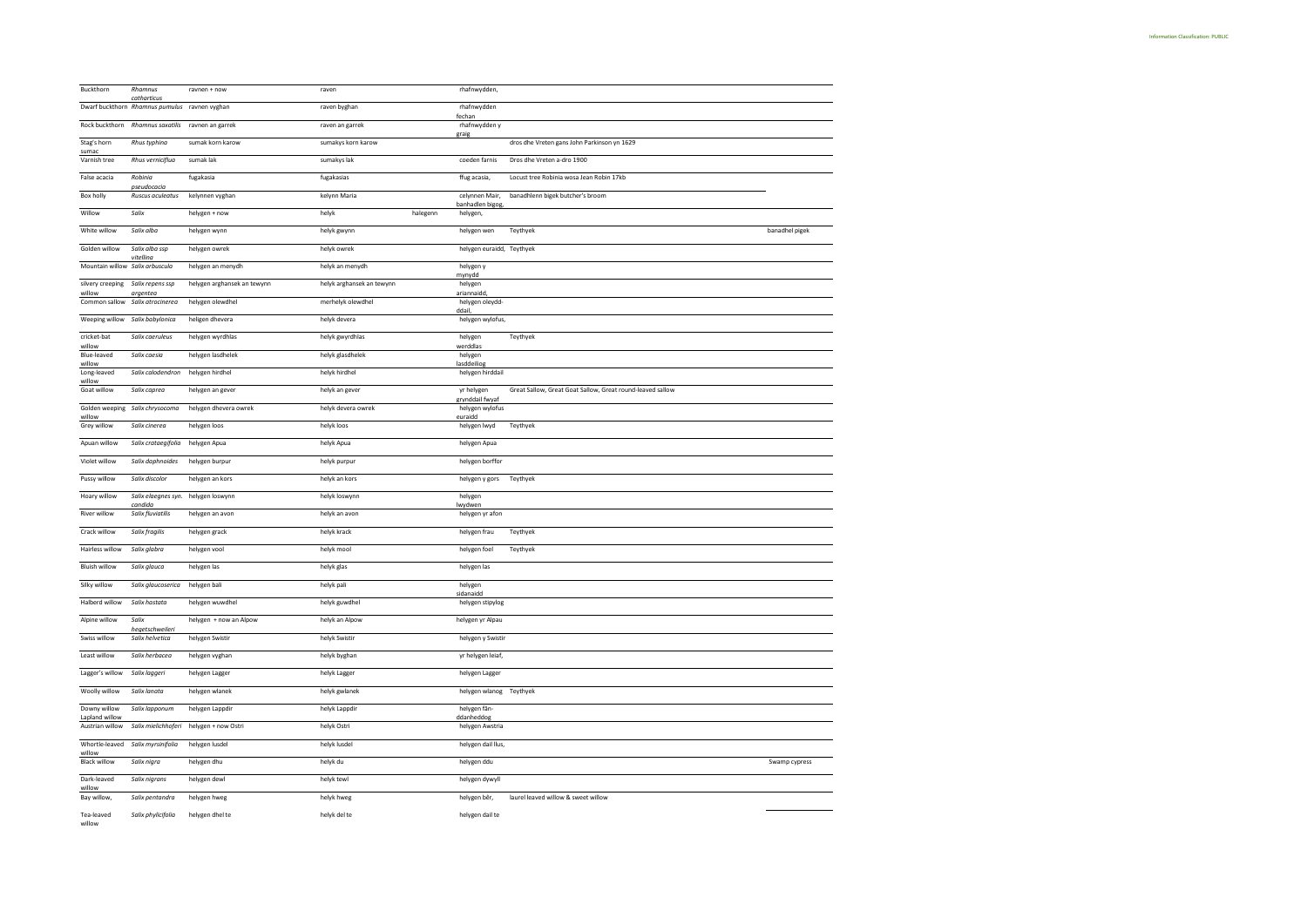| Buckthorn                       | Rhamnus                                                      | ravnen + now                | raven                     |          | rhafnwydden,                    |                                                            |                |
|---------------------------------|--------------------------------------------------------------|-----------------------------|---------------------------|----------|---------------------------------|------------------------------------------------------------|----------------|
|                                 | catharticus<br>Dwarf buckthorn Rhamnus pumulus ravnen vyghan |                             | raven byghan              |          | rhafnwydden                     |                                                            |                |
| Rock buckthorn                  | Rhamnus saxatilis                                            | ravnen an garrek            | raven an garrek           |          | fechan<br>rhafnwydden y         |                                                            |                |
| Stag's horn                     | Rhus typhina                                                 | sumak korn karow            | sumakys korn karow        |          | graig                           | dros dhe Vreten gans John Parkinson yn 1629                |                |
| sumac<br>Varnish tree           | Rhus verniciflua                                             | sumak lak                   | sumakys lak               |          | coeden farnis                   | Dros dhe Vreten a-dro 1900                                 |                |
| False acacia                    | Robinia                                                      | fugakasia                   | fugakasias                |          | ffug acasia,                    | Locust tree Robinia wosa Jean Robin 17kb                   |                |
| Box holly                       | pseudocacio<br>Ruscus aculeatus                              |                             | kelynn Maria              |          | celynnen Mair,                  | banadhlenn bigek butcher's broom                           |                |
|                                 |                                                              | kelynnen vyghan             |                           |          | banhadlen bigog,                |                                                            |                |
| Willow                          | Salix                                                        | helygen + now               | helyk                     | halegenn | helygen,                        |                                                            |                |
| White willow                    | Salix alba                                                   | helygen wynn                | helyk gwynn               |          | helygen wen                     | Teythyek                                                   | banadhel pigek |
| Golden willow                   | Salix alba ssp<br>vitelling                                  | helygen owrek               | helyk owrek               |          | helygen euraidd, Teythyek       |                                                            |                |
| Mountain willow Salix arbuscula |                                                              | helygen an menydh           | helyk an menydh           |          | helygen y<br>mynydd             |                                                            |                |
| silvery creeping<br>willow      | Salix repens ssp                                             | helygen arghansek an tewynn | helyk arghansek an tewynn |          | helygen<br>ariannaidd,          |                                                            |                |
| Common sallow                   | argentea<br>Salix atrocinerea                                | helygen olewdhel            | merhelyk olewdhel         |          | helygen oleydd-                 |                                                            |                |
| Weeping willow                  | Salix babylonica                                             | heligen dhevera             | helyk devera              |          | ddail<br>helygen wylofus,       |                                                            |                |
| cricket-bat                     | Salix caeruleus                                              | helygen wyrdhlas            | helyk gwyrdhlas           |          | helygen                         | Teythyek                                                   |                |
| willow<br>Blue-leaved           | Salix caesia                                                 | helygen lasdhelek           | helyk glasdhelek          |          | werddlas<br>helygen             |                                                            |                |
| willow<br>Long-leaved           | Salix calodendron                                            | helygen hirdhel             | helyk hirdhel             |          | lasddeiliog<br>helygen hirddail |                                                            |                |
| willow<br>Goat willow           | Salix caprea                                                 | helygen an gever            | helyk an gever            |          | yr helygen                      | Great Sallow, Great Goat Sallow, Great round-leaved sallow |                |
|                                 |                                                              |                             |                           |          | grynddail fwyaf                 |                                                            |                |
| Golden weeping<br>willow        | Salix chrysocoma                                             | helygen dhevera owrek       | helyk devera owrek        |          | helygen wylofus<br>euraidd      |                                                            |                |
| Grey willow                     | Salix cinerea                                                | helygen loos                | helyk loos                |          | helygen lwyd                    | Teythyek                                                   |                |
| Apuan willow                    | Salix crataegifolia                                          | helygen Apua                | helyk Apua                |          | helygen Apua                    |                                                            |                |
| Violet willow                   | Salix daphnoides                                             | helygen burpur              | helyk purpur              |          | helygen borffor                 |                                                            |                |
| Pussy willow                    | Salix discolor                                               | helygen an kors             | helyk an kors             |          | helygen y gors                  | Teythyek                                                   |                |
| Hoary willow                    | Salix elaegnes syn. helygen loswynn<br>candida               |                             | helyk loswynn             |          | helygen<br>lwydwen              |                                                            |                |
| River willow                    | Salix fluviatilis                                            | helygen an avon             | helyk an avon             |          | helygen yr afon                 |                                                            |                |
| Crack willow                    | Salix fragilis                                               | helygen grack               | helyk krack               |          | helygen frau                    | Teythyek                                                   |                |
| Hairless willow                 | Salix glabra                                                 | helygen vool                | helyk mool                |          | helygen foel                    | Teythyek                                                   |                |
| <b>Bluish willow</b>            | Salix glauca                                                 | helygen las                 | helyk glas                |          | helygen las                     |                                                            |                |
| Silky willow                    | Salix glaucoserica                                           | helygen bali                | helyk pali                |          | helygen                         |                                                            |                |
| Halberd willow                  | Salix hastata                                                | helygen wuwdhel             | helyk guwdhel             |          | sidanaido<br>helygen stipylog   |                                                            |                |
| Alpine willow                   | Salix                                                        | helygen + now an Alpow      | helyk an Alpow            |          | helygen yr Alpau                |                                                            |                |
| Swiss willow                    | hegetschweileri<br>Salix helvetica                           | helygen Swistir             | helyk Swistir             |          | helygen y Swistir               |                                                            |                |
| Least willow                    | Salix herbacea                                               | helygen vyghan              | helyk byghan              |          | yr helygen leiaf,               |                                                            |                |
|                                 |                                                              |                             |                           |          |                                 |                                                            |                |
| Lagger's willow                 | Salix laggeri                                                | helygen Lagger              | helyk Lagger              |          | helygen Lagger                  |                                                            |                |
| Woolly willow                   | Salix lanata                                                 | helygen wlanek              | helyk gwlanek             |          | helygen wlanog Teythyek         |                                                            |                |
| Downy willow<br>Lapland willow  | Salix lapponum                                               | helygen Lappdir             | helyk Lappdir             |          | helygen fån-<br>ddanheddog      |                                                            |                |
| Austrian willow                 | Salix mielichhoferi                                          | helygen + now Ostri         | helyk Ostri               |          | helygen Awstria                 |                                                            |                |
| Whortle-leaved<br>willow        | Salix myrsinifolia                                           | helygen lusdel              | helyk lusdel              |          | helygen dail llus,              |                                                            |                |
| <b>Black willow</b>             | Salix nigra                                                  | helygen dhu                 | helyk du                  |          | helygen ddu                     |                                                            | Swamp cypress  |
| Dark-leaved                     | Salix nigrans                                                | helygen dewl                | helyk tewl                |          | helygen dywyll                  |                                                            |                |
| willow<br>Bay willow,           | Salix pentandra                                              | helygen hweg                | helyk hweg                |          | helygen bêr,                    | laurel leaved willow & sweet willow                        |                |
| Tea-leaved                      | Salix phylicifolia                                           | helygen dhel te             | helyk del te              |          | helygen dail te                 |                                                            |                |
| willow                          |                                                              |                             |                           |          |                                 |                                                            |                |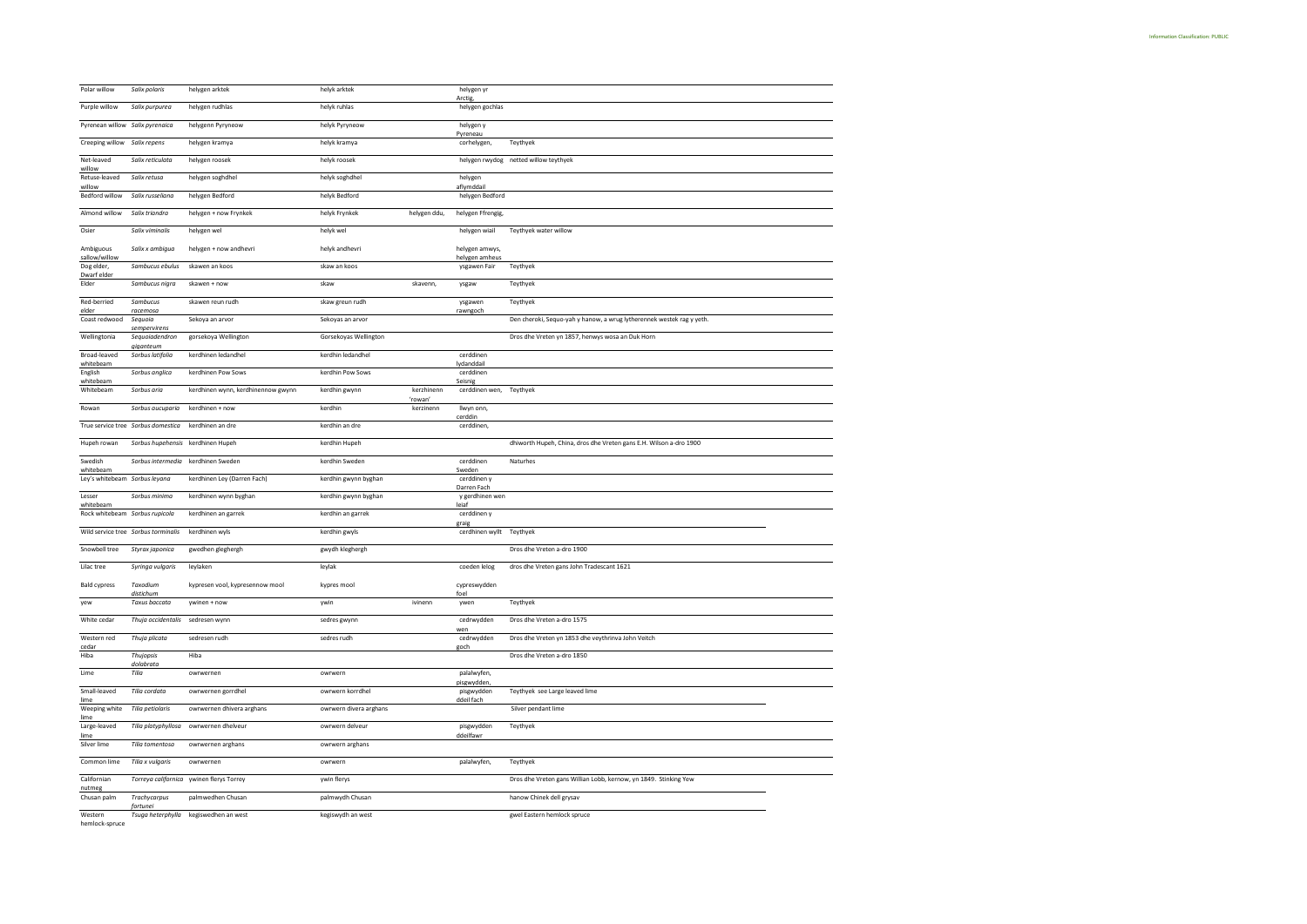| Polar willow                                | Salix polaris                       | helygen arktek                           | helyk arktek           |                      | helygen yr<br>Arctig           |                                                                       |
|---------------------------------------------|-------------------------------------|------------------------------------------|------------------------|----------------------|--------------------------------|-----------------------------------------------------------------------|
| Purple willow                               | Salix purpurea                      | helygen rudhlas                          | helyk ruhlas           |                      | helygen gochlas                |                                                                       |
| Pyrenean willow Salix pyrenaica             |                                     | helygenn Pyryneow                        | helyk Pyryneow         |                      | helygen y                      |                                                                       |
| Creeping willow Salix repens                |                                     | helygen kramya                           | helyk kramya           |                      | Pyreneau<br>corhelygen,        | Teythyek                                                              |
| Net-leaved                                  | Salix reticulata                    | helygen roosek                           | helyk roosek           |                      |                                | helygen rwydog netted willow teythyek                                 |
| willow<br>Retuse-leaved                     | Salix retusa                        | helygen soghdhel                         | helyk soghdhel         |                      | helygen                        |                                                                       |
| willow<br><b>Bedford willow</b>             | Salix russeliana                    | helygen Bedford                          | helyk Bedford          |                      | aflymddail<br>helygen Bedford  |                                                                       |
| Almond willow                               | Salix triandra                      | helygen + now Frynkek                    | helyk Frynkek          | helygen ddu,         | helygen Ffrengig,              |                                                                       |
| Osier                                       | Salix viminalis                     | helygen wel                              | helyk wel              |                      | helygen wiail                  | Teythyek water willow                                                 |
| Ambiguous                                   | Salix x ambigua                     | helygen + now andhevri                   | helyk andhevri         |                      | helygen amwys,                 |                                                                       |
| sallow/willow<br>Dog elder,                 | Sambucus ebulus                     | skawen an koos                           | skaw an koos           |                      | helygen amheus<br>ysgawen Fair | Teythyek                                                              |
| Dwarf elder<br>Elder                        | Sambucus nigra                      | skawen + now                             | skaw                   | skavenn,             | ysgaw                          | Teythyek                                                              |
|                                             |                                     |                                          |                        |                      |                                |                                                                       |
| Red-berried<br>elder                        | Sambucus<br>racemoso                | skawen reun rudh                         | skaw greun rudh        |                      | ysgawen<br>rawngoch            | Teythyek                                                              |
| Coast redwood                               | Seguoio<br>sempervirens             | Sekoya an arvor                          | Sekoyas an arvor       |                      |                                | Den cheroki, Sequo-yah y hanow, a wrug lytherennek westek rag y yeth. |
| Wellingtonia                                | Sequoiadendron<br>giganteum         | gorsekoya Wellington                     | Gorsekoyas Wellington  |                      |                                | Dros dhe Vreten yn 1857, henwys wosa an Duk Horn                      |
| Broad-leaved<br>whitebeam                   | Sorbus latifolia                    | kerdhinen ledandhel                      | kerdhin ledandhel      |                      | cerddinen<br>lydanddail        |                                                                       |
| English<br>whitebeam                        | Sorbus anglica                      | kerdhinen Pow Sows                       | kerdhin Pow Sows       |                      | cerddinen<br>Seisnig           |                                                                       |
| Whitebeam                                   | Sorbus aria                         | kerdhinen wynn, kerdhinennow gwynn       | kerdhin gwynn          | kerzhinenn<br>'rowan | cerddinen wen,                 | Teythyek                                                              |
| Rowan                                       | Sorbus aucuparia                    | kerdhinen + now                          | kerdhin                | kerzinenn            | llwyn onn,                     |                                                                       |
|                                             | True service tree Sorbus domestica  | kerdhinen an dre                         | kerdhin an dre         |                      | cerddin<br>cerddinen,          |                                                                       |
| Hupeh rowan                                 | Sorbus hupehensis                   | kerdhinen Hupeh                          | kerdhin Hupeh          |                      |                                | dhiworth Hupeh, China, dros dhe Vreten gans E.H. Wilson a-dro 1900    |
|                                             |                                     |                                          |                        |                      |                                |                                                                       |
| Swedish                                     |                                     | Sorbus intermedia kerdhinen Sweden       | kerdhin Sweden         |                      | cerddinen                      | Naturhes                                                              |
| whitebeam<br>Ley's whitebeam Sorbus leyana  |                                     | kerdhinen Ley (Darren Fach)              | kerdhin gwynn byghan   |                      | Sweden<br>cerddinen y          |                                                                       |
| Lesser                                      | Sorbus minima                       | kerdhinen wynn byghan                    | kerdhin gwynn byghan   |                      | Darren Fach<br>y gerdhinen wen |                                                                       |
| whitebeam<br>Rock whitebeam Sorbus rupicola |                                     | kerdhinen an garrek                      | kerdhin an garrek      |                      | lejaf<br>cerddinen y           |                                                                       |
|                                             |                                     |                                          |                        |                      | eraie                          |                                                                       |
|                                             | Wild service tree Sorbus torminalis | kerdhinen wyls                           | kerdhin gwyls          |                      | cerdhinen wyllt Teythyek       |                                                                       |
| Snowbell tree                               | Styrax japonica                     | gwedhen gleghergh                        | gwydh kleghergh        |                      |                                | Dros dhe Vreten a-dro 1900                                            |
| Lilac tree                                  | Syringa vulgaris                    | leylaken                                 | leylak                 |                      | coeden lelog                   | dros dhe Vreten gans John Tradescant 1621                             |
| <b>Bald cypress</b>                         | Taxodium<br>distichum               | kypresen vool, kypresennow mool          | kypres mool            |                      | cypreswydden<br>foel           |                                                                       |
| yew                                         | <b>Taxus baccata</b>                | ywinen + now                             | ywin                   | ivinenn              | ywen                           | Teythyek                                                              |
| White cedar                                 | Thuja occidentalis                  | sedresen wynn                            | sedres gwynn           |                      | cedrwydden<br>wer              | Dros dhe Vreten a-dro 1575                                            |
| Western red<br>cedar                        | Thuja plicata                       | sedresen rudh                            | sedres rudh            |                      | cedrwydden<br>goch             | Dros dhe Vreten yn 1853 dhe veythrinva John Veitch                    |
| Hiba                                        | Thujopsis<br>dolabrata              | Hiba                                     |                        |                      |                                | Dros dhe Vreten a-dro 1850                                            |
| Lime                                        | Tilia                               | owrwernen                                | owrwern                |                      | palalwyfen,                    |                                                                       |
| Small-leaved                                | Tilia cordata                       | owrwernen gorrdhel                       | owrwern korrdhel       |                      | pisgwydden,<br>pisgwydden      | Teythyek see Large leaved lime                                        |
| lime<br>Weeping white                       | Tilia petiolaris                    | owrwernen dhivera arghans                | owrwern divera arghans |                      | ddeil fach                     | Silver pendant lime                                                   |
| lime<br>Large-leaved                        | Tilia platyphyllosa                 | owrwernen dhelveur                       | owrwern delveur        |                      | pisgwydden                     | Teythyek                                                              |
| lime<br>Silver lime                         | Tilia tomentosa                     | owrwernen arghans                        | owrwern arghans        |                      | ddeilfawr                      |                                                                       |
| Common lime                                 | Tilia x vulgaris                    | owrwernen                                | owrwern                |                      | palalwyfen,                    | Teythyek                                                              |
| Californian                                 |                                     | Torreya californica ywinen flerys Torrey | ywin flerys            |                      |                                | Dros dhe Vreten gans Willian Lobb, kernow, yn 1849. Stinking Yew      |
| nutmeg<br>Chusan palm                       | Trachycarpus                        | palmwedhen Chusan                        | palmwydh Chusan        |                      |                                | hanow Chinek dell grysav                                              |
|                                             | fortune                             |                                          |                        |                      |                                |                                                                       |